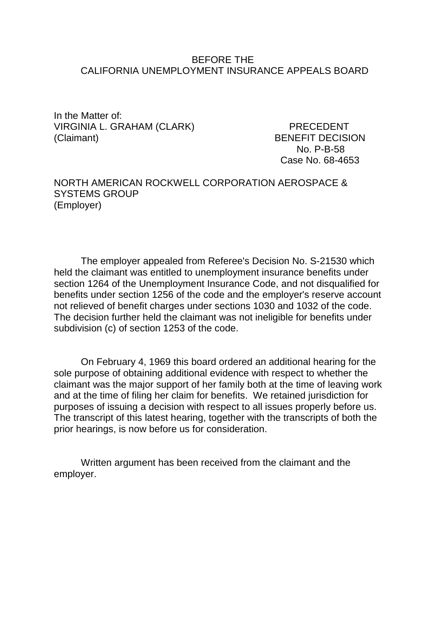#### BEFORE THE CALIFORNIA UNEMPLOYMENT INSURANCE APPEALS BOARD

In the Matter of: VIRGINIA L. GRAHAM (CLARK) PRECEDENT (Claimant) BENEFIT DECISION

No. P-B-58 Case No. 68-4653

NORTH AMERICAN ROCKWELL CORPORATION AEROSPACE & SYSTEMS GROUP (Employer)

The employer appealed from Referee's Decision No. S-21530 which held the claimant was entitled to unemployment insurance benefits under section 1264 of the Unemployment Insurance Code, and not disqualified for benefits under section 1256 of the code and the employer's reserve account not relieved of benefit charges under sections 1030 and 1032 of the code. The decision further held the claimant was not ineligible for benefits under subdivision (c) of section 1253 of the code.

On February 4, 1969 this board ordered an additional hearing for the sole purpose of obtaining additional evidence with respect to whether the claimant was the major support of her family both at the time of leaving work and at the time of filing her claim for benefits. We retained jurisdiction for purposes of issuing a decision with respect to all issues properly before us. The transcript of this latest hearing, together with the transcripts of both the prior hearings, is now before us for consideration.

Written argument has been received from the claimant and the employer.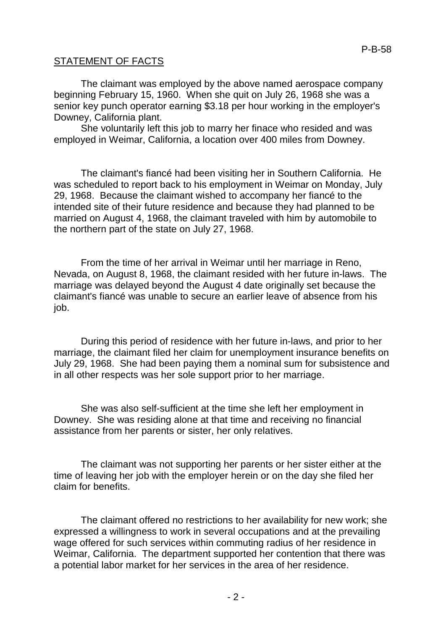### STATEMENT OF FACTS

The claimant was employed by the above named aerospace company beginning February 15, 1960. When she quit on July 26, 1968 she was a senior key punch operator earning \$3.18 per hour working in the employer's Downey, California plant.

She voluntarily left this job to marry her finace who resided and was employed in Weimar, California, a location over 400 miles from Downey.

The claimant's fiancé had been visiting her in Southern California. He was scheduled to report back to his employment in Weimar on Monday, July 29, 1968. Because the claimant wished to accompany her fiancé to the intended site of their future residence and because they had planned to be married on August 4, 1968, the claimant traveled with him by automobile to the northern part of the state on July 27, 1968.

From the time of her arrival in Weimar until her marriage in Reno, Nevada, on August 8, 1968, the claimant resided with her future in-laws. The marriage was delayed beyond the August 4 date originally set because the claimant's fiancé was unable to secure an earlier leave of absence from his job.

During this period of residence with her future in-laws, and prior to her marriage, the claimant filed her claim for unemployment insurance benefits on July 29, 1968. She had been paying them a nominal sum for subsistence and in all other respects was her sole support prior to her marriage.

She was also self-sufficient at the time she left her employment in Downey. She was residing alone at that time and receiving no financial assistance from her parents or sister, her only relatives.

The claimant was not supporting her parents or her sister either at the time of leaving her job with the employer herein or on the day she filed her claim for benefits.

The claimant offered no restrictions to her availability for new work; she expressed a willingness to work in several occupations and at the prevailing wage offered for such services within commuting radius of her residence in Weimar, California. The department supported her contention that there was a potential labor market for her services in the area of her residence.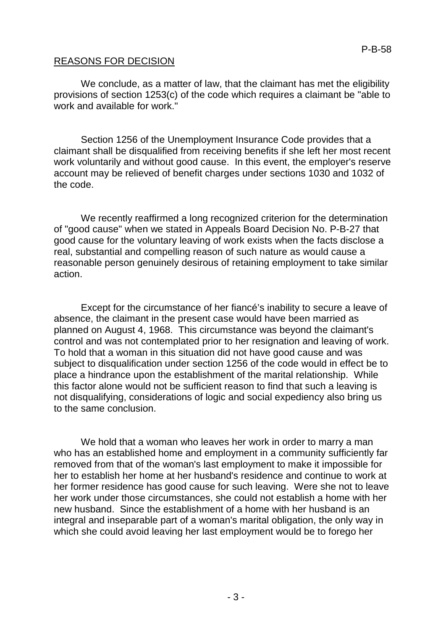### REASONS FOR DECISION

We conclude, as a matter of law, that the claimant has met the eligibility provisions of section 1253(c) of the code which requires a claimant be "able to work and available for work."

Section 1256 of the Unemployment Insurance Code provides that a claimant shall be disqualified from receiving benefits if she left her most recent work voluntarily and without good cause. In this event, the employer's reserve account may be relieved of benefit charges under sections 1030 and 1032 of the code.

We recently reaffirmed a long recognized criterion for the determination of "good cause" when we stated in Appeals Board Decision No. P-B-27 that good cause for the voluntary leaving of work exists when the facts disclose a real, substantial and compelling reason of such nature as would cause a reasonable person genuinely desirous of retaining employment to take similar action.

Except for the circumstance of her fiancé's inability to secure a leave of absence, the claimant in the present case would have been married as planned on August 4, 1968. This circumstance was beyond the claimant's control and was not contemplated prior to her resignation and leaving of work. To hold that a woman in this situation did not have good cause and was subject to disqualification under section 1256 of the code would in effect be to place a hindrance upon the establishment of the marital relationship. While this factor alone would not be sufficient reason to find that such a leaving is not disqualifying, considerations of logic and social expediency also bring us to the same conclusion.

We hold that a woman who leaves her work in order to marry a man who has an established home and employment in a community sufficiently far removed from that of the woman's last employment to make it impossible for her to establish her home at her husband's residence and continue to work at her former residence has good cause for such leaving. Were she not to leave her work under those circumstances, she could not establish a home with her new husband. Since the establishment of a home with her husband is an integral and inseparable part of a woman's marital obligation, the only way in which she could avoid leaving her last employment would be to forego her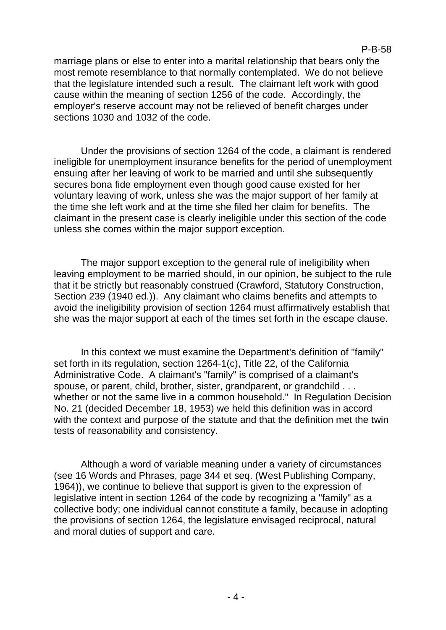marriage plans or else to enter into a marital relationship that bears only the most remote resemblance to that normally contemplated. We do not believe that the legislature intended such a result. The claimant left work with good cause within the meaning of section 1256 of the code. Accordingly, the employer's reserve account may not be relieved of benefit charges under sections 1030 and 1032 of the code.

Under the provisions of section 1264 of the code, a claimant is rendered ineligible for unemployment insurance benefits for the period of unemployment ensuing after her leaving of work to be married and until she subsequently secures bona fide employment even though good cause existed for her voluntary leaving of work, unless she was the major support of her family at the time she left work and at the time she filed her claim for benefits. The claimant in the present case is clearly ineligible under this section of the code unless she comes within the major support exception.

The major support exception to the general rule of ineligibility when leaving employment to be married should, in our opinion, be subject to the rule that it be strictly but reasonably construed (Crawford, Statutory Construction, Section 239 (1940 ed.)). Any claimant who claims benefits and attempts to avoid the ineligibility provision of section 1264 must affirmatively establish that she was the major support at each of the times set forth in the escape clause.

In this context we must examine the Department's definition of "family" set forth in its regulation, section 1264-1(c), Title 22, of the California Administrative Code. A claimant's "family" is comprised of a claimant's spouse, or parent, child, brother, sister, grandparent, or grandchild . . . whether or not the same live in a common household." In Regulation Decision No. 21 (decided December 18, 1953) we held this definition was in accord with the context and purpose of the statute and that the definition met the twin tests of reasonability and consistency.

Although a word of variable meaning under a variety of circumstances (see 16 Words and Phrases, page 344 et seq. (West Publishing Company, 1964)), we continue to believe that support is given to the expression of legislative intent in section 1264 of the code by recognizing a "family" as a collective body; one individual cannot constitute a family, because in adopting the provisions of section 1264, the legislature envisaged reciprocal, natural and moral duties of support and care.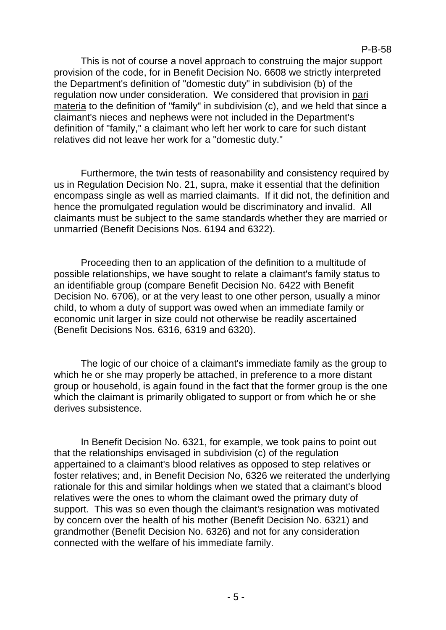P-B-58

This is not of course a novel approach to construing the major support provision of the code, for in Benefit Decision No. 6608 we strictly interpreted the Department's definition of "domestic duty" in subdivision (b) of the regulation now under consideration. We considered that provision in pari materia to the definition of "family" in subdivision (c), and we held that since a claimant's nieces and nephews were not included in the Department's definition of "family," a claimant who left her work to care for such distant relatives did not leave her work for a "domestic duty."

Furthermore, the twin tests of reasonability and consistency required by us in Regulation Decision No. 21, supra, make it essential that the definition encompass single as well as married claimants. If it did not, the definition and hence the promulgated regulation would be discriminatory and invalid. All claimants must be subject to the same standards whether they are married or unmarried (Benefit Decisions Nos. 6194 and 6322).

Proceeding then to an application of the definition to a multitude of possible relationships, we have sought to relate a claimant's family status to an identifiable group (compare Benefit Decision No. 6422 with Benefit Decision No. 6706), or at the very least to one other person, usually a minor child, to whom a duty of support was owed when an immediate family or economic unit larger in size could not otherwise be readily ascertained (Benefit Decisions Nos. 6316, 6319 and 6320).

The logic of our choice of a claimant's immediate family as the group to which he or she may properly be attached, in preference to a more distant group or household, is again found in the fact that the former group is the one which the claimant is primarily obligated to support or from which he or she derives subsistence.

In Benefit Decision No. 6321, for example, we took pains to point out that the relationships envisaged in subdivision (c) of the regulation appertained to a claimant's blood relatives as opposed to step relatives or foster relatives; and, in Benefit Decision No, 6326 we reiterated the underlying rationale for this and similar holdings when we stated that a claimant's blood relatives were the ones to whom the claimant owed the primary duty of support. This was so even though the claimant's resignation was motivated by concern over the health of his mother (Benefit Decision No. 6321) and grandmother (Benefit Decision No. 6326) and not for any consideration connected with the welfare of his immediate family.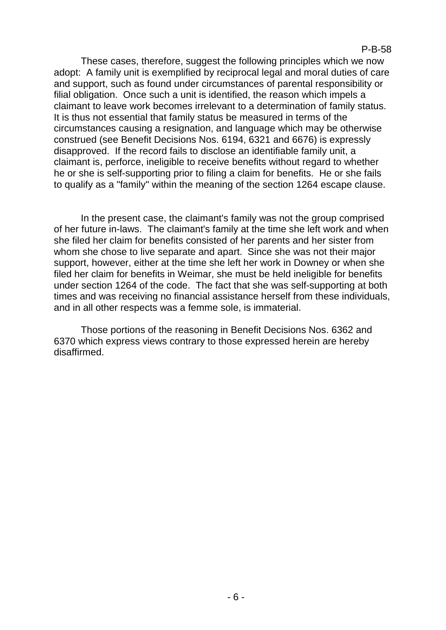These cases, therefore, suggest the following principles which we now adopt: A family unit is exemplified by reciprocal legal and moral duties of care and support, such as found under circumstances of parental responsibility or filial obligation. Once such a unit is identified, the reason which impels a claimant to leave work becomes irrelevant to a determination of family status. It is thus not essential that family status be measured in terms of the circumstances causing a resignation, and language which may be otherwise construed (see Benefit Decisions Nos. 6194, 6321 and 6676) is expressly disapproved. If the record fails to disclose an identifiable family unit, a claimant is, perforce, ineligible to receive benefits without regard to whether he or she is self-supporting prior to filing a claim for benefits. He or she fails to qualify as a "family" within the meaning of the section 1264 escape clause.

In the present case, the claimant's family was not the group comprised of her future in-laws. The claimant's family at the time she left work and when she filed her claim for benefits consisted of her parents and her sister from whom she chose to live separate and apart. Since she was not their major support, however, either at the time she left her work in Downey or when she filed her claim for benefits in Weimar, she must be held ineligible for benefits under section 1264 of the code. The fact that she was self-supporting at both times and was receiving no financial assistance herself from these individuals, and in all other respects was a femme sole, is immaterial.

Those portions of the reasoning in Benefit Decisions Nos. 6362 and 6370 which express views contrary to those expressed herein are hereby disaffirmed.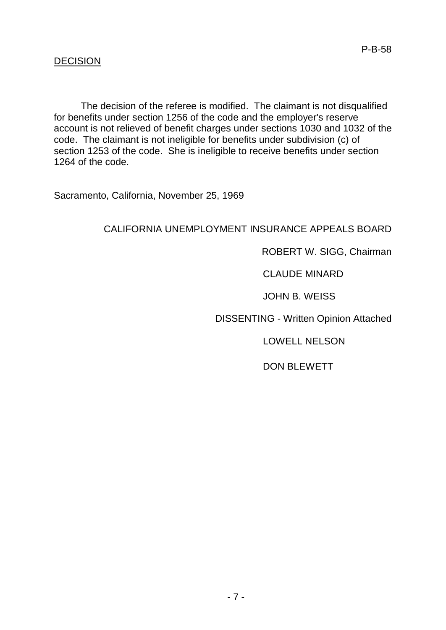### **DECISION**

The decision of the referee is modified. The claimant is not disqualified for benefits under section 1256 of the code and the employer's reserve account is not relieved of benefit charges under sections 1030 and 1032 of the code. The claimant is not ineligible for benefits under subdivision (c) of section 1253 of the code. She is ineligible to receive benefits under section 1264 of the code.

Sacramento, California, November 25, 1969

# CALIFORNIA UNEMPLOYMENT INSURANCE APPEALS BOARD

### ROBERT W. SIGG, Chairman

# CLAUDE MINARD

#### JOHN B. WEISS

DISSENTING - Written Opinion Attached

LOWELL NELSON

DON BLEWETT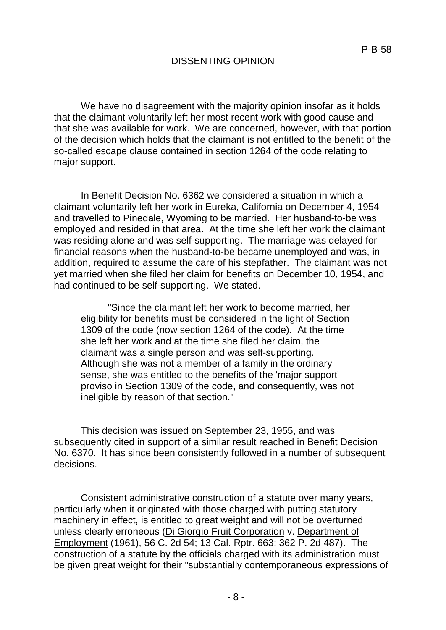### DISSENTING OPINION

We have no disagreement with the majority opinion insofar as it holds that the claimant voluntarily left her most recent work with good cause and that she was available for work. We are concerned, however, with that portion of the decision which holds that the claimant is not entitled to the benefit of the so-called escape clause contained in section 1264 of the code relating to major support.

In Benefit Decision No. 6362 we considered a situation in which a claimant voluntarily left her work in Eureka, California on December 4, 1954 and travelled to Pinedale, Wyoming to be married. Her husband-to-be was employed and resided in that area. At the time she left her work the claimant was residing alone and was self-supporting. The marriage was delayed for financial reasons when the husband-to-be became unemployed and was, in addition, required to assume the care of his stepfather. The claimant was not yet married when she filed her claim for benefits on December 10, 1954, and had continued to be self-supporting. We stated.

"Since the claimant left her work to become married, her eligibility for benefits must be considered in the light of Section 1309 of the code (now section 1264 of the code). At the time she left her work and at the time she filed her claim, the claimant was a single person and was self-supporting. Although she was not a member of a family in the ordinary sense, she was entitled to the benefits of the 'major support' proviso in Section 1309 of the code, and consequently, was not ineligible by reason of that section."

This decision was issued on September 23, 1955, and was subsequently cited in support of a similar result reached in Benefit Decision No. 6370. It has since been consistently followed in a number of subsequent decisions.

Consistent administrative construction of a statute over many years, particularly when it originated with those charged with putting statutory machinery in effect, is entitled to great weight and will not be overturned unless clearly erroneous (Di Giorgio Fruit Corporation v. Department of Employment (1961), 56 C. 2d 54; 13 Cal. Rptr. 663; 362 P. 2d 487). The construction of a statute by the officials charged with its administration must be given great weight for their "substantially contemporaneous expressions of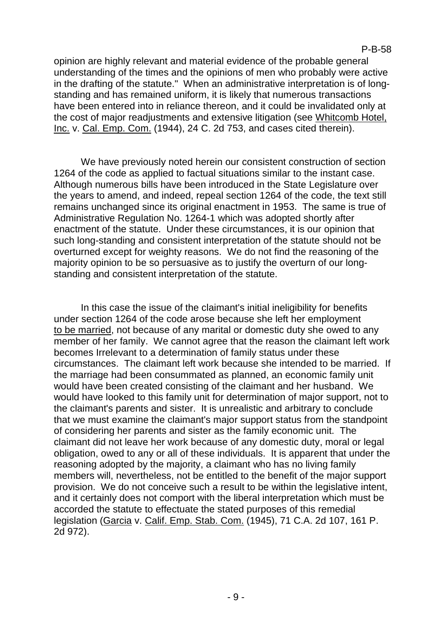opinion are highly relevant and material evidence of the probable general understanding of the times and the opinions of men who probably were active in the drafting of the statute." When an administrative interpretation is of longstanding and has remained uniform, it is likely that numerous transactions have been entered into in reliance thereon, and it could be invalidated only at the cost of major readjustments and extensive litigation (see Whitcomb Hotel, Inc. v. Cal. Emp. Com. (1944), 24 C. 2d 753, and cases cited therein).

We have previously noted herein our consistent construction of section 1264 of the code as applied to factual situations similar to the instant case. Although numerous bills have been introduced in the State Legislature over the years to amend, and indeed, repeal section 1264 of the code, the text still remains unchanged since its original enactment in 1953. The same is true of Administrative Regulation No. 1264-1 which was adopted shortly after enactment of the statute. Under these circumstances, it is our opinion that such long-standing and consistent interpretation of the statute should not be overturned except for weighty reasons. We do not find the reasoning of the majority opinion to be so persuasive as to justify the overturn of our longstanding and consistent interpretation of the statute.

In this case the issue of the claimant's initial ineligibility for benefits under section 1264 of the code arose because she left her employment to be married, not because of any marital or domestic duty she owed to any member of her family. We cannot agree that the reason the claimant left work becomes Irrelevant to a determination of family status under these circumstances. The claimant left work because she intended to be married. If the marriage had been consummated as planned, an economic family unit would have been created consisting of the claimant and her husband. We would have looked to this family unit for determination of major support, not to the claimant's parents and sister. It is unrealistic and arbitrary to conclude that we must examine the claimant's major support status from the standpoint of considering her parents and sister as the family economic unit. The claimant did not leave her work because of any domestic duty, moral or legal obligation, owed to any or all of these individuals. It is apparent that under the reasoning adopted by the majority, a claimant who has no living family members will, nevertheless, not be entitled to the benefit of the major support provision. We do not conceive such a result to be within the legislative intent, and it certainly does not comport with the liberal interpretation which must be accorded the statute to effectuate the stated purposes of this remedial legislation (Garcia v. Calif. Emp. Stab. Com. (1945), 71 C.A. 2d 107, 161 P. 2d 972).